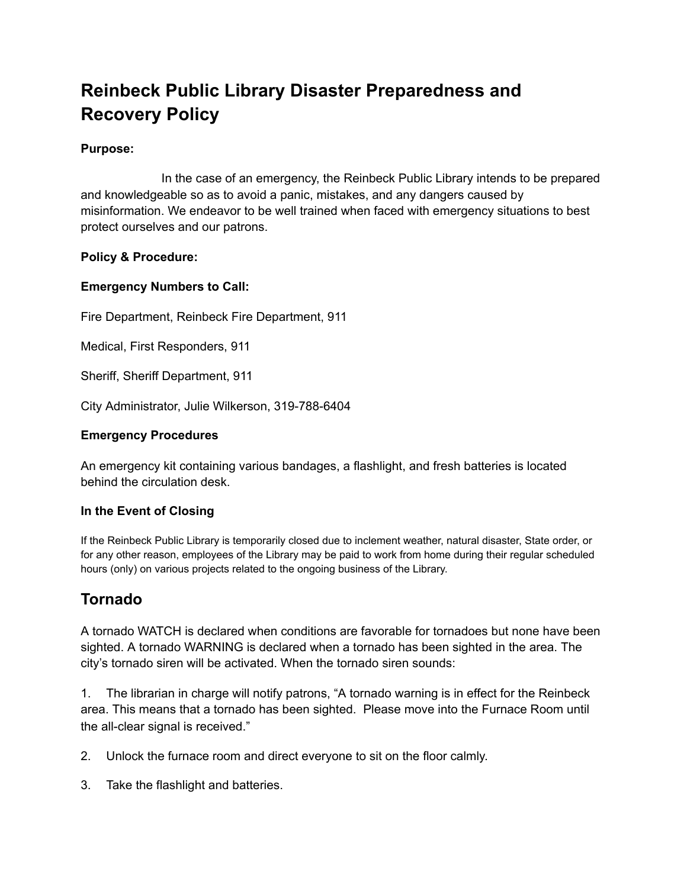# **Reinbeck Public Library Disaster Preparedness and Recovery Policy**

#### **Purpose:**

In the case of an emergency, the Reinbeck Public Library intends to be prepared and knowledgeable so as to avoid a panic, mistakes, and any dangers caused by misinformation. We endeavor to be well trained when faced with emergency situations to best protect ourselves and our patrons.

#### **Policy & Procedure:**

#### **Emergency Numbers to Call:**

Fire Department, Reinbeck Fire Department, 911

Medical, First Responders, 911

Sheriff, Sheriff Department, 911

City Administrator, Julie Wilkerson, 319-788-6404

#### **Emergency Procedures**

An emergency kit containing various bandages, a flashlight, and fresh batteries is located behind the circulation desk.

#### **In the Event of Closing**

If the Reinbeck Public Library is temporarily closed due to inclement weather, natural disaster, State order, or for any other reason, employees of the Library may be paid to work from home during their regular scheduled hours (only) on various projects related to the ongoing business of the Library.

## **Tornado**

A tornado WATCH is declared when conditions are favorable for tornadoes but none have been sighted. A tornado WARNING is declared when a tornado has been sighted in the area. The city's tornado siren will be activated. When the tornado siren sounds:

1. The librarian in charge will notify patrons, "A tornado warning is in effect for the Reinbeck area. This means that a tornado has been sighted. Please move into the Furnace Room until the all-clear signal is received."

- 2. Unlock the furnace room and direct everyone to sit on the floor calmly.
- 3. Take the flashlight and batteries.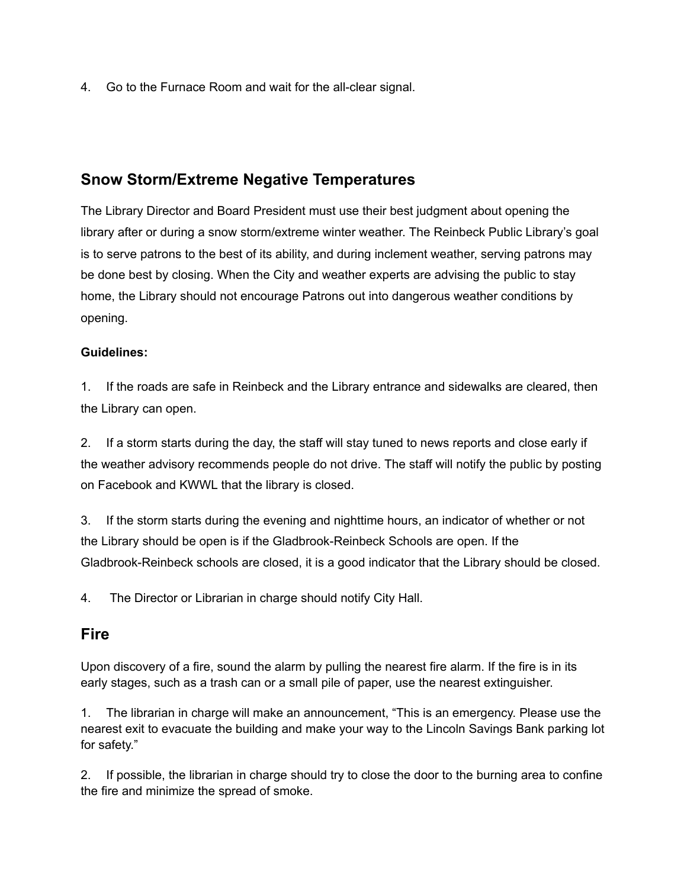4. Go to the Furnace Room and wait for the all-clear signal.

## **Snow Storm/Extreme Negative Temperatures**

The Library Director and Board President must use their best judgment about opening the library after or during a snow storm/extreme winter weather. The Reinbeck Public Library's goal is to serve patrons to the best of its ability, and during inclement weather, serving patrons may be done best by closing. When the City and weather experts are advising the public to stay home, the Library should not encourage Patrons out into dangerous weather conditions by opening.

#### **Guidelines:**

1. If the roads are safe in Reinbeck and the Library entrance and sidewalks are cleared, then the Library can open.

2. If a storm starts during the day, the staff will stay tuned to news reports and close early if the weather advisory recommends people do not drive. The staff will notify the public by posting on Facebook and KWWL that the library is closed.

3. If the storm starts during the evening and nighttime hours, an indicator of whether or not the Library should be open is if the Gladbrook-Reinbeck Schools are open. If the Gladbrook-Reinbeck schools are closed, it is a good indicator that the Library should be closed.

4. The Director or Librarian in charge should notify City Hall.

## **Fire**

Upon discovery of a fire, sound the alarm by pulling the nearest fire alarm. If the fire is in its early stages, such as a trash can or a small pile of paper, use the nearest extinguisher.

1. The librarian in charge will make an announcement, "This is an emergency. Please use the nearest exit to evacuate the building and make your way to the Lincoln Savings Bank parking lot for safety."

2. If possible, the librarian in charge should try to close the door to the burning area to confine the fire and minimize the spread of smoke.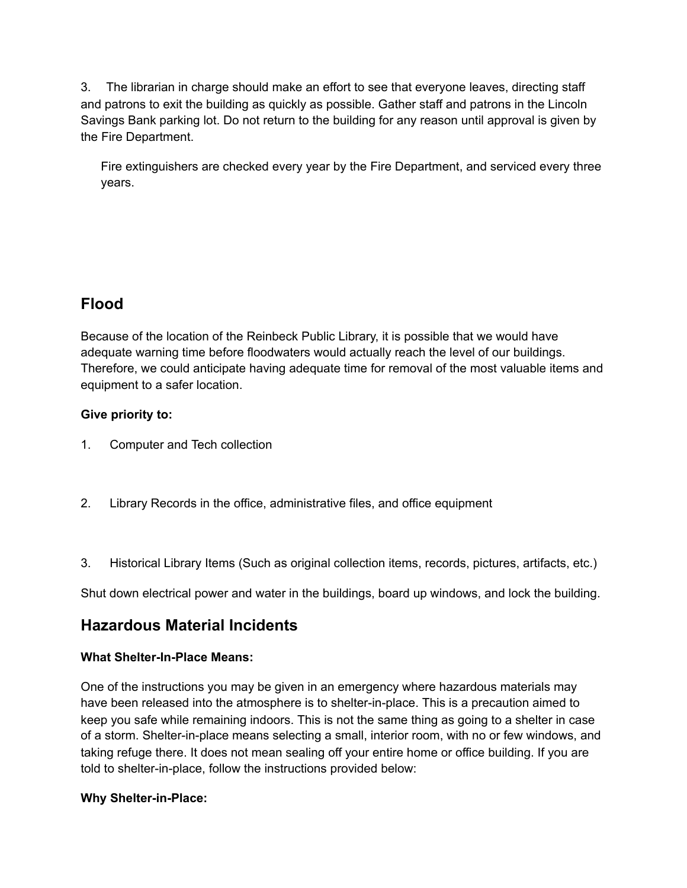3. The librarian in charge should make an effort to see that everyone leaves, directing staff and patrons to exit the building as quickly as possible. Gather staff and patrons in the Lincoln Savings Bank parking lot. Do not return to the building for any reason until approval is given by the Fire Department.

Fire extinguishers are checked every year by the Fire Department, and serviced every three years.

## **Flood**

Because of the location of the Reinbeck Public Library, it is possible that we would have adequate warning time before floodwaters would actually reach the level of our buildings. Therefore, we could anticipate having adequate time for removal of the most valuable items and equipment to a safer location.

### **Give priority to:**

- 1. Computer and Tech collection
- 2. Library Records in the office, administrative files, and office equipment
- 3. Historical Library Items (Such as original collection items, records, pictures, artifacts, etc.)

Shut down electrical power and water in the buildings, board up windows, and lock the building.

## **Hazardous Material Incidents**

### **What Shelter-In-Place Means:**

One of the instructions you may be given in an emergency where hazardous materials may have been released into the atmosphere is to shelter-in-place. This is a precaution aimed to keep you safe while remaining indoors. This is not the same thing as going to a shelter in case of a storm. Shelter-in-place means selecting a small, interior room, with no or few windows, and taking refuge there. It does not mean sealing off your entire home or office building. If you are told to shelter-in-place, follow the instructions provided below:

### **Why Shelter-in-Place:**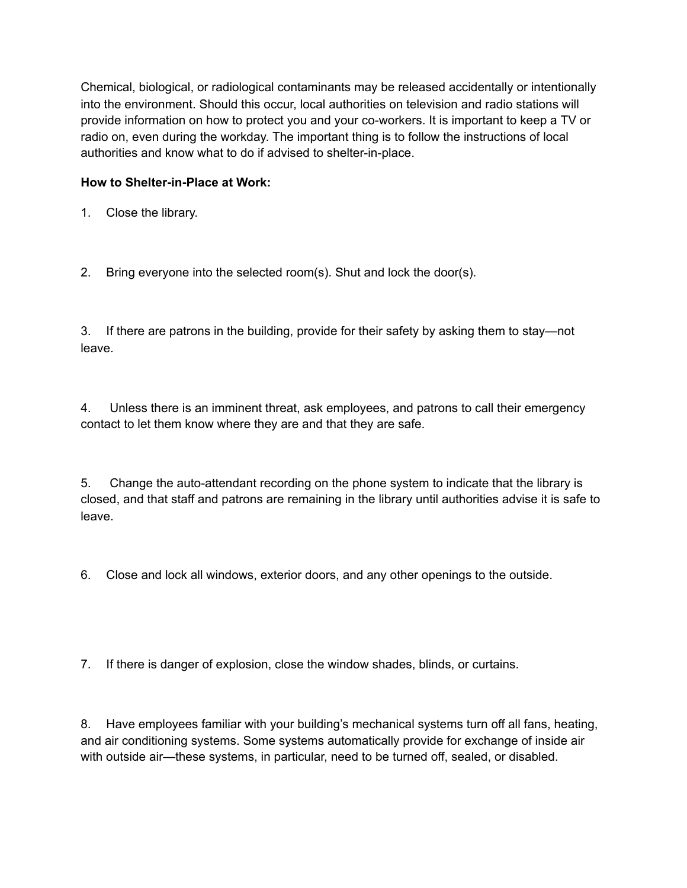Chemical, biological, or radiological contaminants may be released accidentally or intentionally into the environment. Should this occur, local authorities on television and radio stations will provide information on how to protect you and your co-workers. It is important to keep a TV or radio on, even during the workday. The important thing is to follow the instructions of local authorities and know what to do if advised to shelter-in-place.

### **How to Shelter-in-Place at Work:**

1. Close the library.

2. Bring everyone into the selected room(s). Shut and lock the door(s).

3. If there are patrons in the building, provide for their safety by asking them to stay—not leave.

4. Unless there is an imminent threat, ask employees, and patrons to call their emergency contact to let them know where they are and that they are safe.

5. Change the auto-attendant recording on the phone system to indicate that the library is closed, and that staff and patrons are remaining in the library until authorities advise it is safe to leave.

6. Close and lock all windows, exterior doors, and any other openings to the outside.

7. If there is danger of explosion, close the window shades, blinds, or curtains.

8. Have employees familiar with your building's mechanical systems turn off all fans, heating, and air conditioning systems. Some systems automatically provide for exchange of inside air with outside air—these systems, in particular, need to be turned off, sealed, or disabled.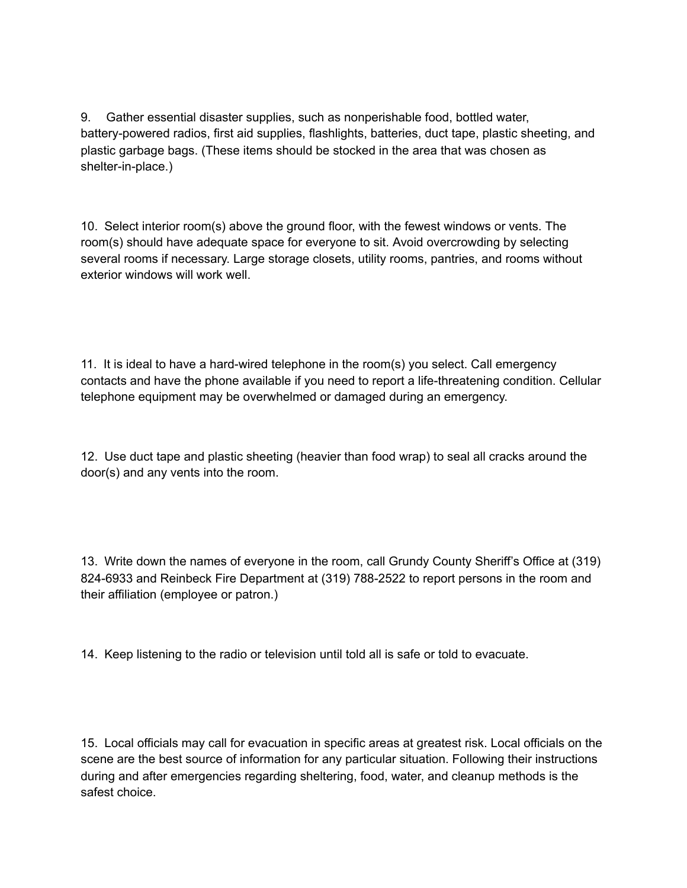9. Gather essential disaster supplies, such as nonperishable food, bottled water, battery-powered radios, first aid supplies, flashlights, batteries, duct tape, plastic sheeting, and plastic garbage bags. (These items should be stocked in the area that was chosen as shelter-in-place.)

10. Select interior room(s) above the ground floor, with the fewest windows or vents. The room(s) should have adequate space for everyone to sit. Avoid overcrowding by selecting several rooms if necessary. Large storage closets, utility rooms, pantries, and rooms without exterior windows will work well.

11. It is ideal to have a hard-wired telephone in the room(s) you select. Call emergency contacts and have the phone available if you need to report a life-threatening condition. Cellular telephone equipment may be overwhelmed or damaged during an emergency.

12. Use duct tape and plastic sheeting (heavier than food wrap) to seal all cracks around the door(s) and any vents into the room.

13. Write down the names of everyone in the room, call Grundy County Sheriff's Office at (319) 824-6933 and Reinbeck Fire Department at (319) 788-2522 to report persons in the room and their affiliation (employee or patron.)

14. Keep listening to the radio or television until told all is safe or told to evacuate.

15. Local officials may call for evacuation in specific areas at greatest risk. Local officials on the scene are the best source of information for any particular situation. Following their instructions during and after emergencies regarding sheltering, food, water, and cleanup methods is the safest choice.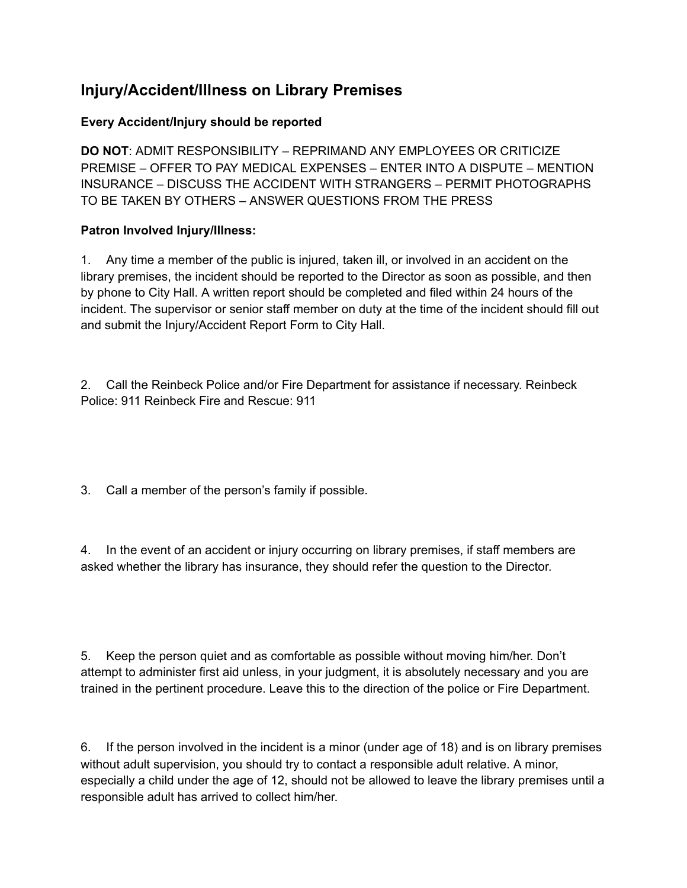## **Injury/Accident/Illness on Library Premises**

### **Every Accident/Injury should be reported**

**DO NOT**: ADMIT RESPONSIBILITY – REPRIMAND ANY EMPLOYEES OR CRITICIZE PREMISE – OFFER TO PAY MEDICAL EXPENSES – ENTER INTO A DISPUTE – MENTION INSURANCE – DISCUSS THE ACCIDENT WITH STRANGERS – PERMIT PHOTOGRAPHS TO BE TAKEN BY OTHERS – ANSWER QUESTIONS FROM THE PRESS

### **Patron Involved Injury/Illness:**

1. Any time a member of the public is injured, taken ill, or involved in an accident on the library premises, the incident should be reported to the Director as soon as possible, and then by phone to City Hall. A written report should be completed and filed within 24 hours of the incident. The supervisor or senior staff member on duty at the time of the incident should fill out and submit the Injury/Accident Report Form to City Hall.

2. Call the Reinbeck Police and/or Fire Department for assistance if necessary. Reinbeck Police: 911 Reinbeck Fire and Rescue: 911

3. Call a member of the person's family if possible.

4. In the event of an accident or injury occurring on library premises, if staff members are asked whether the library has insurance, they should refer the question to the Director.

5. Keep the person quiet and as comfortable as possible without moving him/her. Don't attempt to administer first aid unless, in your judgment, it is absolutely necessary and you are trained in the pertinent procedure. Leave this to the direction of the police or Fire Department.

6. If the person involved in the incident is a minor (under age of 18) and is on library premises without adult supervision, you should try to contact a responsible adult relative. A minor, especially a child under the age of 12, should not be allowed to leave the library premises until a responsible adult has arrived to collect him/her.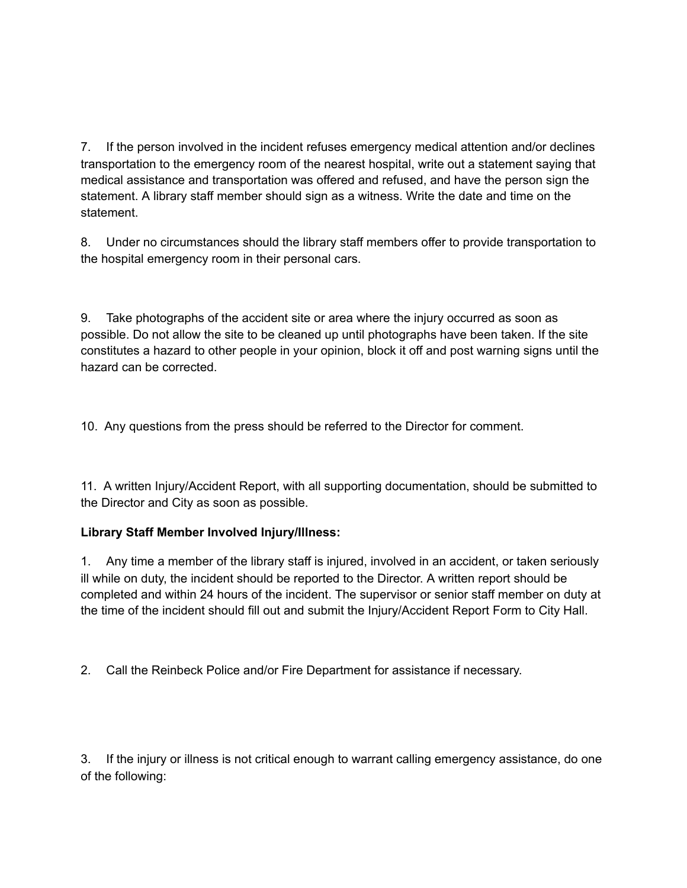7. If the person involved in the incident refuses emergency medical attention and/or declines transportation to the emergency room of the nearest hospital, write out a statement saying that medical assistance and transportation was offered and refused, and have the person sign the statement. A library staff member should sign as a witness. Write the date and time on the statement.

8. Under no circumstances should the library staff members offer to provide transportation to the hospital emergency room in their personal cars.

9. Take photographs of the accident site or area where the injury occurred as soon as possible. Do not allow the site to be cleaned up until photographs have been taken. If the site constitutes a hazard to other people in your opinion, block it off and post warning signs until the hazard can be corrected.

10. Any questions from the press should be referred to the Director for comment.

11. A written Injury/Accident Report, with all supporting documentation, should be submitted to the Director and City as soon as possible.

### **Library Staff Member Involved Injury/Illness:**

1. Any time a member of the library staff is injured, involved in an accident, or taken seriously ill while on duty, the incident should be reported to the Director. A written report should be completed and within 24 hours of the incident. The supervisor or senior staff member on duty at the time of the incident should fill out and submit the Injury/Accident Report Form to City Hall.

2. Call the Reinbeck Police and/or Fire Department for assistance if necessary.

3. If the injury or illness is not critical enough to warrant calling emergency assistance, do one of the following: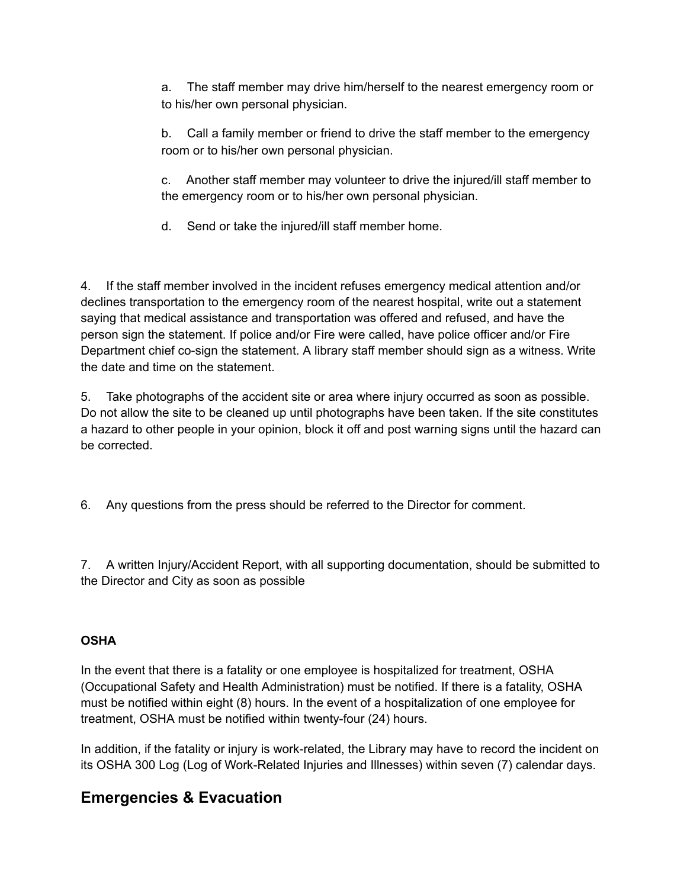a. The staff member may drive him/herself to the nearest emergency room or to his/her own personal physician.

b. Call a family member or friend to drive the staff member to the emergency room or to his/her own personal physician.

c. Another staff member may volunteer to drive the injured/ill staff member to the emergency room or to his/her own personal physician.

d. Send or take the injured/ill staff member home.

4. If the staff member involved in the incident refuses emergency medical attention and/or declines transportation to the emergency room of the nearest hospital, write out a statement saying that medical assistance and transportation was offered and refused, and have the person sign the statement. If police and/or Fire were called, have police officer and/or Fire Department chief co-sign the statement. A library staff member should sign as a witness. Write the date and time on the statement.

5. Take photographs of the accident site or area where injury occurred as soon as possible. Do not allow the site to be cleaned up until photographs have been taken. If the site constitutes a hazard to other people in your opinion, block it off and post warning signs until the hazard can be corrected.

6. Any questions from the press should be referred to the Director for comment.

7. A written Injury/Accident Report, with all supporting documentation, should be submitted to the Director and City as soon as possible

### **OSHA**

In the event that there is a fatality or one employee is hospitalized for treatment, OSHA (Occupational Safety and Health Administration) must be notified. If there is a fatality, OSHA must be notified within eight (8) hours. In the event of a hospitalization of one employee for treatment, OSHA must be notified within twenty-four (24) hours.

In addition, if the fatality or injury is work-related, the Library may have to record the incident on its OSHA 300 Log (Log of Work-Related Injuries and Illnesses) within seven (7) calendar days.

## **Emergencies & Evacuation**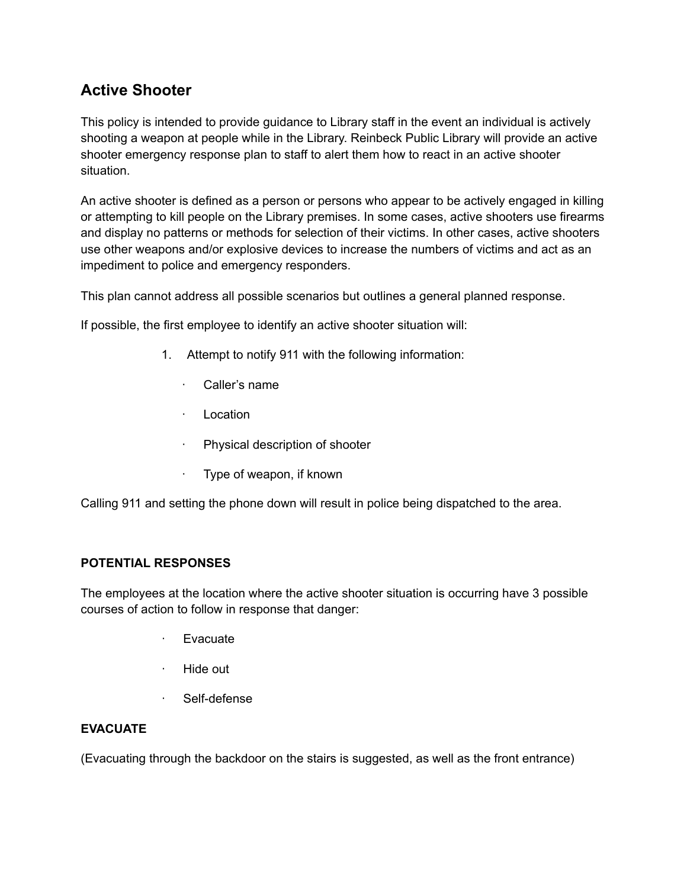## **Active Shooter**

This policy is intended to provide guidance to Library staff in the event an individual is actively shooting a weapon at people while in the Library. Reinbeck Public Library will provide an active shooter emergency response plan to staff to alert them how to react in an active shooter situation.

An active shooter is defined as a person or persons who appear to be actively engaged in killing or attempting to kill people on the Library premises. In some cases, active shooters use firearms and display no patterns or methods for selection of their victims. In other cases, active shooters use other weapons and/or explosive devices to increase the numbers of victims and act as an impediment to police and emergency responders.

This plan cannot address all possible scenarios but outlines a general planned response.

If possible, the first employee to identify an active shooter situation will:

- 1. Attempt to notify 911 with the following information:
	- · Caller's name
	- · Location
	- · Physical description of shooter
	- · Type of weapon, if known

Calling 911 and setting the phone down will result in police being dispatched to the area.

#### **POTENTIAL RESPONSES**

The employees at the location where the active shooter situation is occurring have 3 possible courses of action to follow in response that danger:

- **Evacuate**
- · Hide out
- · Self-defense

### **EVACUATE**

(Evacuating through the backdoor on the stairs is suggested, as well as the front entrance)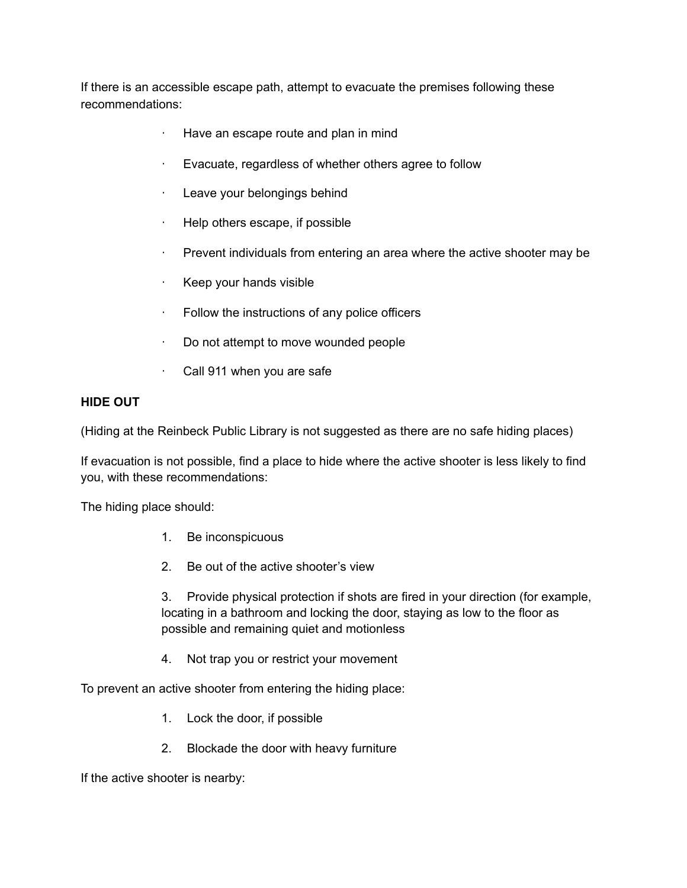If there is an accessible escape path, attempt to evacuate the premises following these recommendations:

- · Have an escape route and plan in mind
- Evacuate, regardless of whether others agree to follow
- · Leave your belongings behind
- Help others escape, if possible
- · Prevent individuals from entering an area where the active shooter may be
- · Keep your hands visible
- · Follow the instructions of any police officers
- · Do not attempt to move wounded people
- · Call 911 when you are safe

### **HIDE OUT**

(Hiding at the Reinbeck Public Library is not suggested as there are no safe hiding places)

If evacuation is not possible, find a place to hide where the active shooter is less likely to find you, with these recommendations:

The hiding place should:

- 1. Be inconspicuous
- 2. Be out of the active shooter's view

3. Provide physical protection if shots are fired in your direction (for example, locating in a bathroom and locking the door, staying as low to the floor as possible and remaining quiet and motionless

4. Not trap you or restrict your movement

To prevent an active shooter from entering the hiding place:

- 1. Lock the door, if possible
- 2. Blockade the door with heavy furniture

If the active shooter is nearby: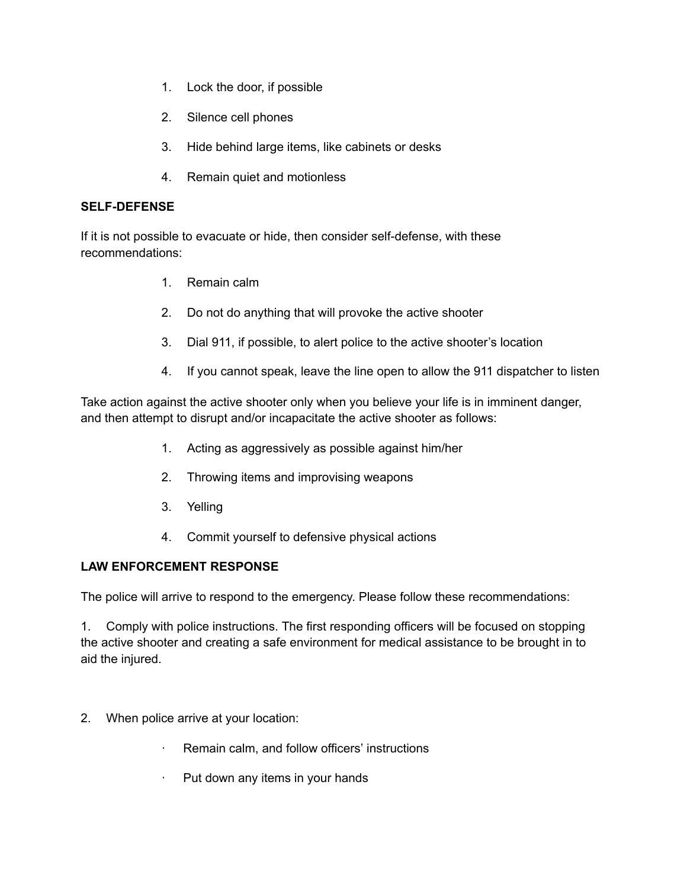- 1. Lock the door, if possible
- 2. Silence cell phones
- 3. Hide behind large items, like cabinets or desks
- 4. Remain quiet and motionless

#### **SELF-DEFENSE**

If it is not possible to evacuate or hide, then consider self-defense, with these recommendations:

- 1. Remain calm
- 2. Do not do anything that will provoke the active shooter
- 3. Dial 911, if possible, to alert police to the active shooter's location
- 4. If you cannot speak, leave the line open to allow the 911 dispatcher to listen

Take action against the active shooter only when you believe your life is in imminent danger, and then attempt to disrupt and/or incapacitate the active shooter as follows:

- 1. Acting as aggressively as possible against him/her
- 2. Throwing items and improvising weapons
- 3. Yelling
- 4. Commit yourself to defensive physical actions

### **LAW ENFORCEMENT RESPONSE**

The police will arrive to respond to the emergency. Please follow these recommendations:

1. Comply with police instructions. The first responding officers will be focused on stopping the active shooter and creating a safe environment for medical assistance to be brought in to aid the injured.

- 2. When police arrive at your location:
	- · Remain calm, and follow officers' instructions
	- Put down any items in your hands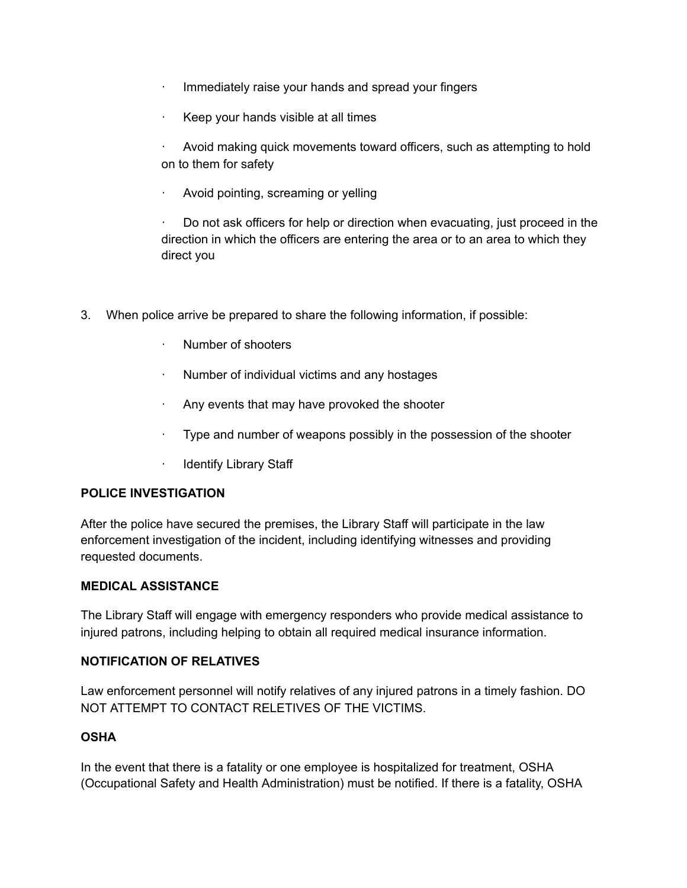- Immediately raise your hands and spread your fingers
- Keep your hands visible at all times

Avoid making quick movements toward officers, such as attempting to hold on to them for safety

Avoid pointing, screaming or yelling

Do not ask officers for help or direction when evacuating, just proceed in the direction in which the officers are entering the area or to an area to which they direct you

- 3. When police arrive be prepared to share the following information, if possible:
	- · Number of shooters
	- · Number of individual victims and any hostages
	- · Any events that may have provoked the shooter
	- · Type and number of weapons possibly in the possession of the shooter
	- · Identify Library Staff

#### **POLICE INVESTIGATION**

After the police have secured the premises, the Library Staff will participate in the law enforcement investigation of the incident, including identifying witnesses and providing requested documents.

#### **MEDICAL ASSISTANCE**

The Library Staff will engage with emergency responders who provide medical assistance to injured patrons, including helping to obtain all required medical insurance information.

#### **NOTIFICATION OF RELATIVES**

Law enforcement personnel will notify relatives of any injured patrons in a timely fashion. DO NOT ATTEMPT TO CONTACT RELETIVES OF THE VICTIMS.

#### **OSHA**

In the event that there is a fatality or one employee is hospitalized for treatment, OSHA (Occupational Safety and Health Administration) must be notified. If there is a fatality, OSHA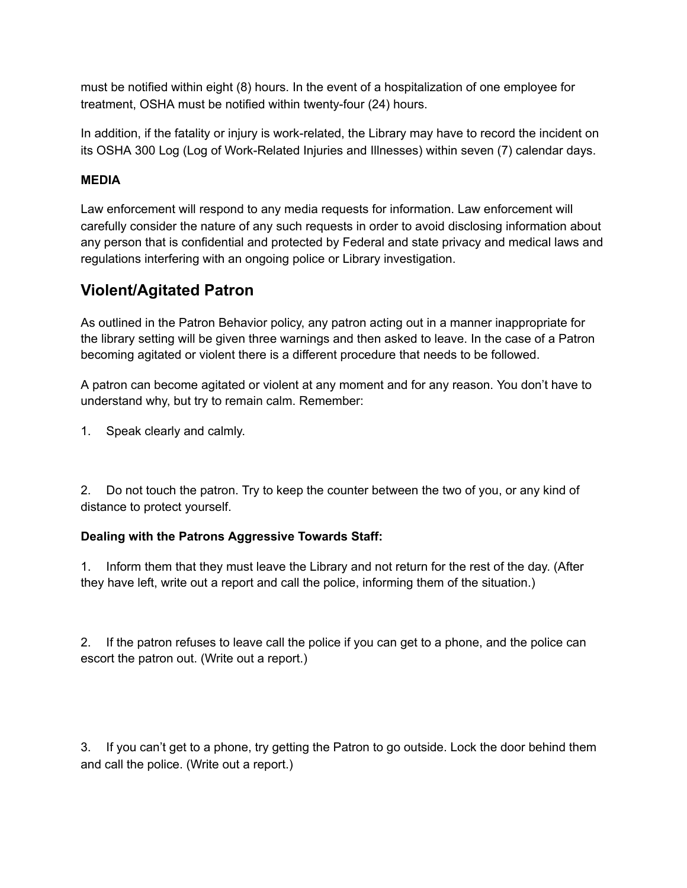must be notified within eight (8) hours. In the event of a hospitalization of one employee for treatment, OSHA must be notified within twenty-four (24) hours.

In addition, if the fatality or injury is work-related, the Library may have to record the incident on its OSHA 300 Log (Log of Work-Related Injuries and Illnesses) within seven (7) calendar days.

### **MEDIA**

Law enforcement will respond to any media requests for information. Law enforcement will carefully consider the nature of any such requests in order to avoid disclosing information about any person that is confidential and protected by Federal and state privacy and medical laws and regulations interfering with an ongoing police or Library investigation.

## **Violent/Agitated Patron**

As outlined in the Patron Behavior policy, any patron acting out in a manner inappropriate for the library setting will be given three warnings and then asked to leave. In the case of a Patron becoming agitated or violent there is a different procedure that needs to be followed.

A patron can become agitated or violent at any moment and for any reason. You don't have to understand why, but try to remain calm. Remember:

1. Speak clearly and calmly.

2. Do not touch the patron. Try to keep the counter between the two of you, or any kind of distance to protect yourself.

### **Dealing with the Patrons Aggressive Towards Staff:**

1. Inform them that they must leave the Library and not return for the rest of the day. (After they have left, write out a report and call the police, informing them of the situation.)

2. If the patron refuses to leave call the police if you can get to a phone, and the police can escort the patron out. (Write out a report.)

3. If you can't get to a phone, try getting the Patron to go outside. Lock the door behind them and call the police. (Write out a report.)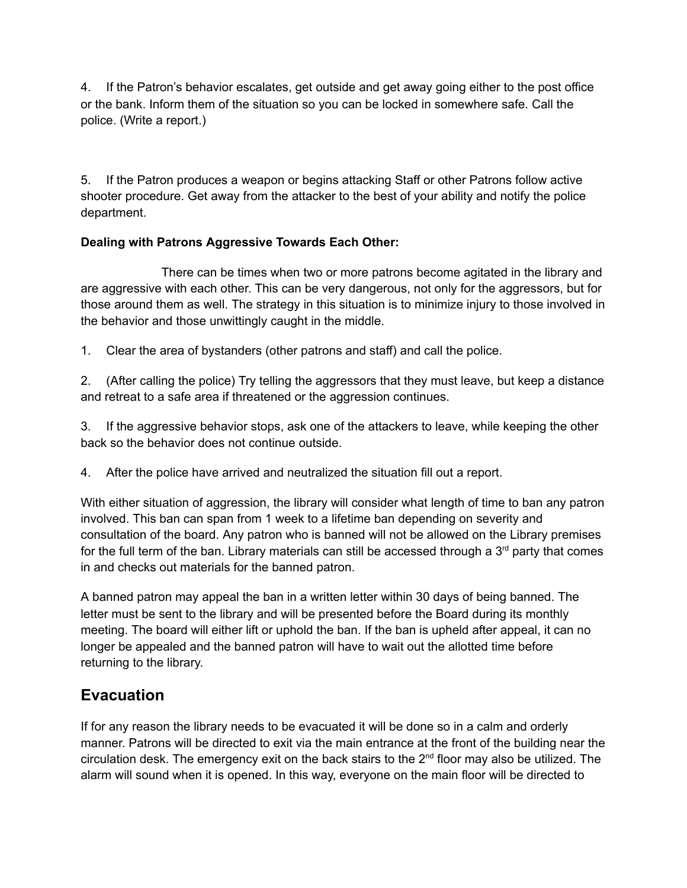4. If the Patron's behavior escalates, get outside and get away going either to the post office or the bank. Inform them of the situation so you can be locked in somewhere safe. Call the police. (Write a report.)

5. If the Patron produces a weapon or begins attacking Staff or other Patrons follow active shooter procedure. Get away from the attacker to the best of your ability and notify the police department.

### **Dealing with Patrons Aggressive Towards Each Other:**

There can be times when two or more patrons become agitated in the library and are aggressive with each other. This can be very dangerous, not only for the aggressors, but for those around them as well. The strategy in this situation is to minimize injury to those involved in the behavior and those unwittingly caught in the middle.

1. Clear the area of bystanders (other patrons and staff) and call the police.

2. (After calling the police) Try telling the aggressors that they must leave, but keep a distance and retreat to a safe area if threatened or the aggression continues.

3. If the aggressive behavior stops, ask one of the attackers to leave, while keeping the other back so the behavior does not continue outside.

4. After the police have arrived and neutralized the situation fill out a report.

With either situation of aggression, the library will consider what length of time to ban any patron involved. This ban can span from 1 week to a lifetime ban depending on severity and consultation of the board. Any patron who is banned will not be allowed on the Library premises for the full term of the ban. Library materials can still be accessed through a  $3<sup>rd</sup>$  party that comes in and checks out materials for the banned patron.

A banned patron may appeal the ban in a written letter within 30 days of being banned. The letter must be sent to the library and will be presented before the Board during its monthly meeting. The board will either lift or uphold the ban. If the ban is upheld after appeal, it can no longer be appealed and the banned patron will have to wait out the allotted time before returning to the library.

## **Evacuation**

If for any reason the library needs to be evacuated it will be done so in a calm and orderly manner. Patrons will be directed to exit via the main entrance at the front of the building near the circulation desk. The emergency exit on the back stairs to the  $2<sup>nd</sup>$  floor may also be utilized. The alarm will sound when it is opened. In this way, everyone on the main floor will be directed to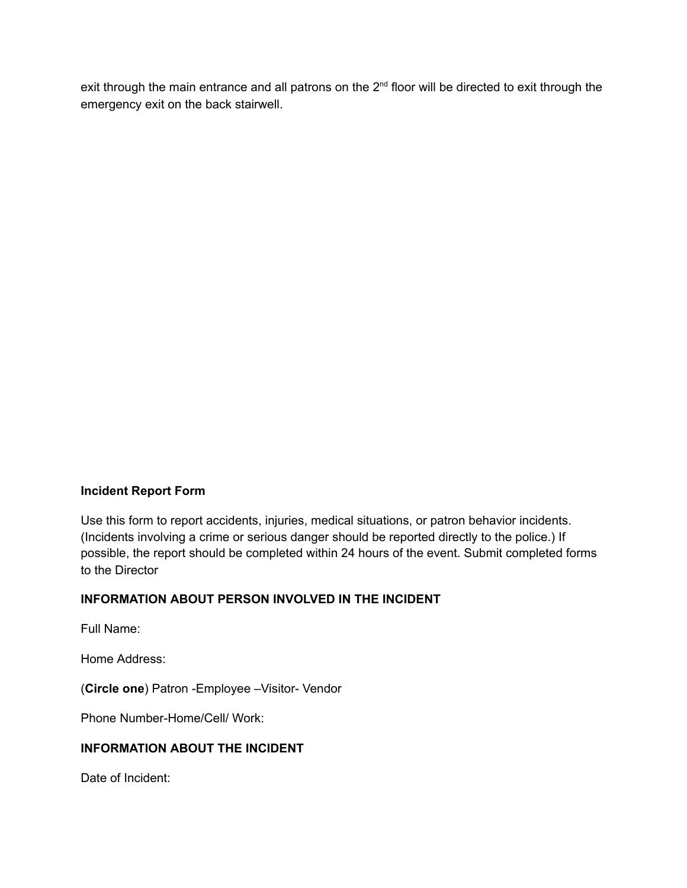exit through the main entrance and all patrons on the  $2<sup>nd</sup>$  floor will be directed to exit through the emergency exit on the back stairwell.

### **Incident Report Form**

Use this form to report accidents, injuries, medical situations, or patron behavior incidents. (Incidents involving a crime or serious danger should be reported directly to the police.) If possible, the report should be completed within 24 hours of the event. Submit completed forms to the Director

#### **INFORMATION ABOUT PERSON INVOLVED IN THE INCIDENT**

Full Name:

Home Address:

(**Circle one**) Patron -Employee –Visitor- Vendor

Phone Number-Home/Cell/ Work:

### **INFORMATION ABOUT THE INCIDENT**

Date of Incident: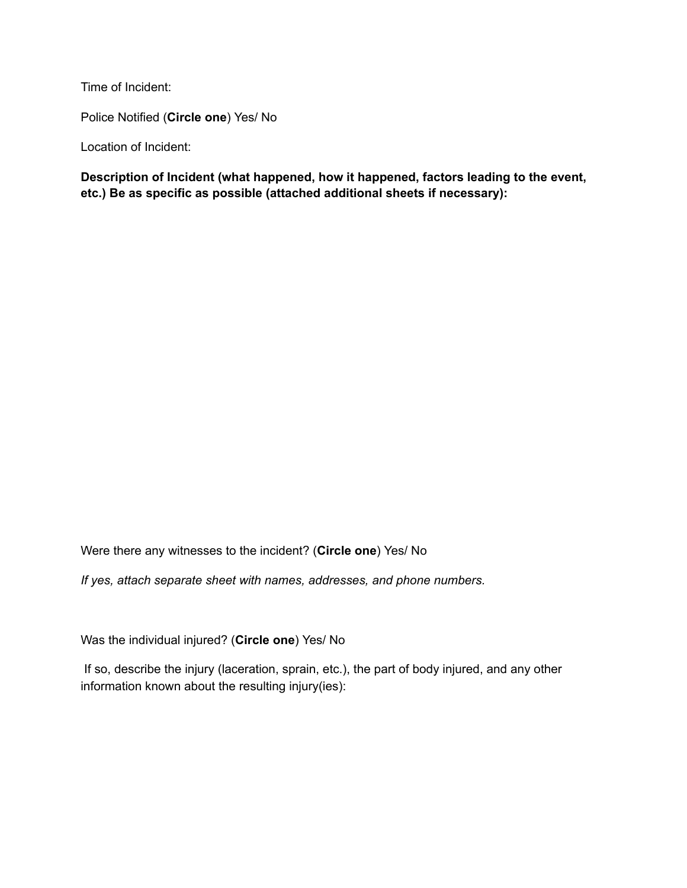Time of Incident:

Police Notified (**Circle one**) Yes/ No

Location of Incident:

**Description of Incident (what happened, how it happened, factors leading to the event, etc.) Be as specific as possible (attached additional sheets if necessary):**

Were there any witnesses to the incident? (**Circle one**) Yes/ No

*If yes, attach separate sheet with names, addresses, and phone numbers.*

Was the individual injured? (**Circle one**) Yes/ No

If so, describe the injury (laceration, sprain, etc.), the part of body injured, and any other information known about the resulting injury(ies):